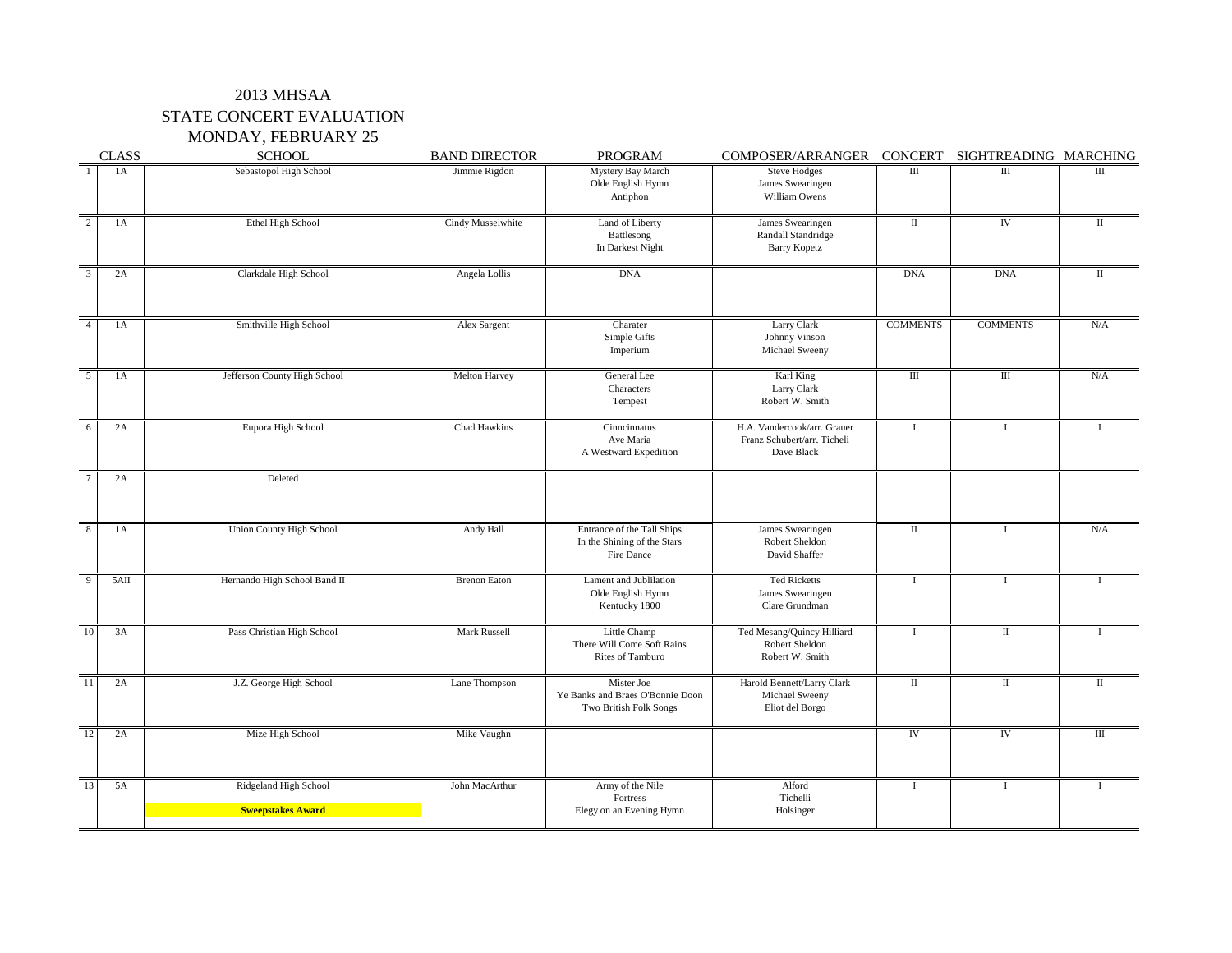# 2013 MHSAA STATE CONCERT EVALUATION MONDAY, FEBRUARY 25

|                        | <b>CLASS</b> | <b>SCHOOL</b>                                     | <b>BAND DIRECTOR</b> | <b>PROGRAM</b>                                                           | COMPOSER/ARRANGER                                                        |                      | CONCERT SIGHTREADING MARCHING |                      |
|------------------------|--------------|---------------------------------------------------|----------------------|--------------------------------------------------------------------------|--------------------------------------------------------------------------|----------------------|-------------------------------|----------------------|
| $\mathbf{1}$           | 1A           | Sebastopol High School                            | Jimmie Rigdon        | Mystery Bay March<br>Olde English Hymn<br>Antiphon                       | Steve Hodges<br>James Swearingen<br>William Owens                        | Ш                    | $\mathbf{III}$                | Ш                    |
| $\overline{2}$         | 1A           | Ethel High School                                 | Cindy Musselwhite    | Land of Liberty<br>Battlesong<br>In Darkest Night                        | James Swearingen<br>Randall Standridge<br><b>Barry Kopetz</b>            | $\overline{\rm{II}}$ | IV                            | П                    |
| $\overline{3}$         | 2A           | Clarkdale High School                             | Angela Lollis        | <b>DNA</b>                                                               |                                                                          | <b>DNA</b>           | <b>DNA</b>                    | П                    |
| $\boldsymbol{\Lambda}$ | 1A           | Smithville High School                            | Alex Sargent         | Charater<br>Simple Gifts<br>Imperium                                     | Larry Clark<br>Johnny Vinson<br>Michael Sweeny                           | <b>COMMENTS</b>      | <b>COMMENTS</b>               | N/A                  |
| $\overline{5}$         | 1A           | Jefferson County High School                      | Melton Harvey        | General Lee<br>Characters<br>Tempest                                     | Karl King<br>Larry Clark<br>Robert W. Smith                              | $\rm III$            | $\overline{m}$                | N/A                  |
| 6                      | 2A           | Eupora High School                                | Chad Hawkins         | Cinncinnatus<br>Ave Maria<br>A Westward Expedition                       | H.A. Vandercook/arr. Grauer<br>Franz Schubert/arr. Ticheli<br>Dave Black | $\mathbf I$          | $\bf{I}$                      |                      |
| $\overline{7}$         | 2A           | Deleted                                           |                      |                                                                          |                                                                          |                      |                               |                      |
| 8                      | 1A           | <b>Union County High School</b>                   | Andy Hall            | Entrance of the Tall Ships<br>In the Shining of the Stars<br>Fire Dance  | James Swearingen<br>Robert Sheldon<br>David Shaffer                      | $\rm II$             | $\mathbf I$                   | N/A                  |
| $\overline{9}$         | 5AII         | Hernando High School Band II                      | <b>Brenon Eaton</b>  | Lament and Jublilation<br>Olde English Hymn<br>Kentucky 1800             | <b>Ted Ricketts</b><br>James Swearingen<br>Clare Grundman                | $\mathbf I$          | $\mathbf I$                   |                      |
| 10                     | 3A           | Pass Christian High School                        | Mark Russell         | Little Champ<br>There Will Come Soft Rains<br>Rites of Tamburo           | Ted Mesang/Quincy Hilliard<br>Robert Sheldon<br>Robert W. Smith          | $\mathbf I$          | $\rm II$                      |                      |
| $\overline{11}$        | 2A           | J.Z. George High School                           | Lane Thompson        | Mister Joe<br>Ye Banks and Braes O'Bonnie Doon<br>Two British Folk Songs | Harold Bennett/Larry Clark<br>Michael Sweeny<br>Eliot del Borgo          | $\mathbf{I}$         | $\scriptstyle\rm II$          | $\scriptstyle\rm II$ |
| 12                     | 2A           | Mize High School                                  | Mike Vaughn          |                                                                          |                                                                          | IV                   | <b>IV</b>                     | Ш                    |
| 13                     | 5A           | Ridgeland High School<br><b>Sweepstakes Award</b> | John MacArthur       | Army of the Nile<br>Fortress<br>Elegy on an Evening Hymn                 | Alford<br>Tichelli<br>Holsinger                                          | $\bf{I}$             | $\bf{I}$                      |                      |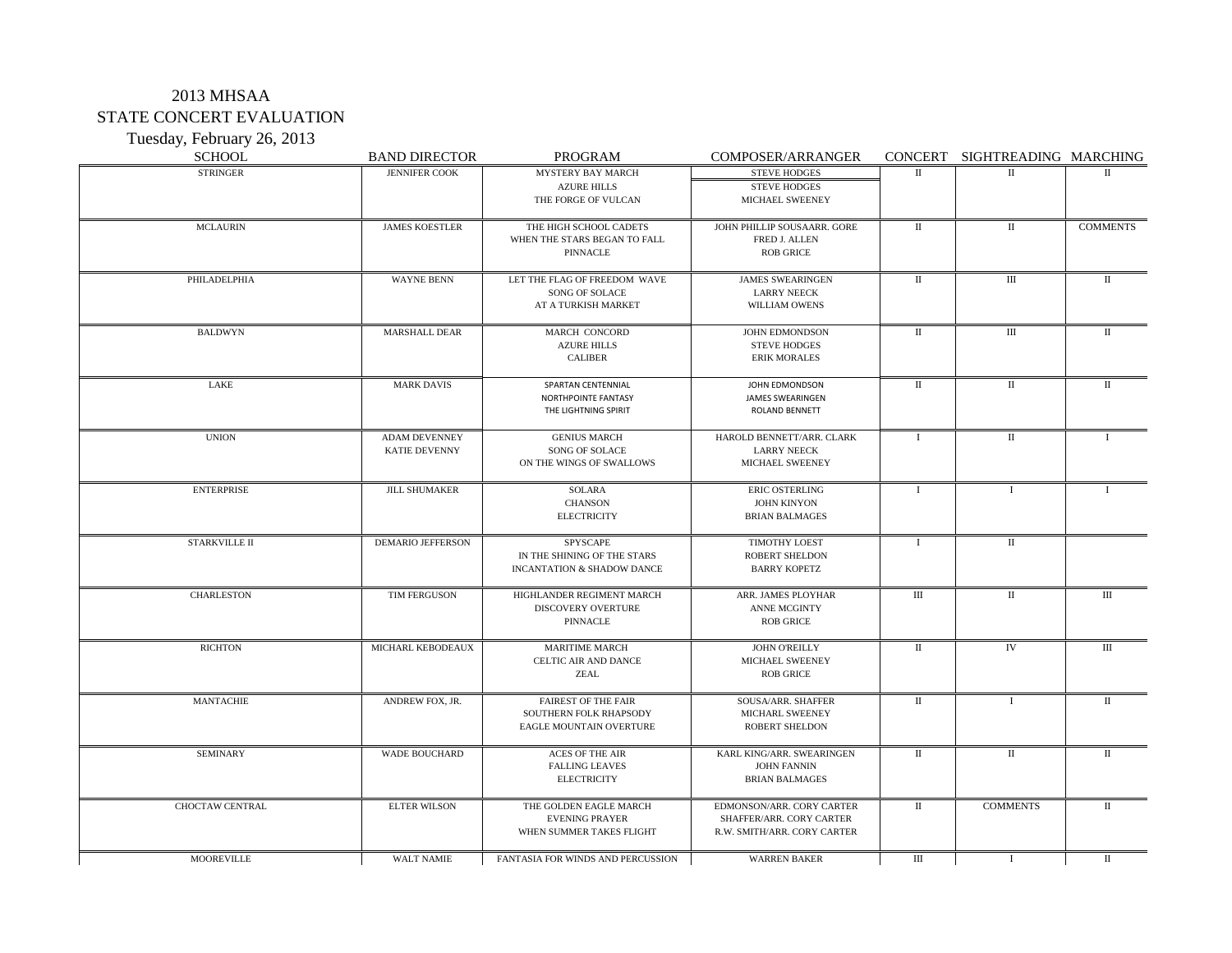## 2013 MHSAA STATE CONCERT EVALUATION Tuesday, February 26, 2013

| Tuesday, reditionally 20, 2015 |                       |                              |                             |         |                       |                 |
|--------------------------------|-----------------------|------------------------------|-----------------------------|---------|-----------------------|-----------------|
| <b>SCHOOL</b>                  | <b>BAND DIRECTOR</b>  | PROGRAM                      | COMPOSER/ARRANGER           | CONCERT | SIGHTREADING MARCHING |                 |
| <b>STRINGER</b>                | <b>JENNIFER COOK</b>  | <b>MYSTERY BAY MARCH</b>     | <b>STEVE HODGES</b>         | ш       |                       |                 |
|                                |                       | <b>AZURE HILLS</b>           | <b>STEVE HODGES</b>         |         |                       |                 |
|                                |                       | THE FORGE OF VULCAN          | <b>MICHAEL SWEENEY</b>      |         |                       |                 |
|                                |                       |                              |                             |         |                       |                 |
| <b>MCLAURIN</b>                | <b>JAMES KOESTLER</b> | THE HIGH SCHOOL CADETS       | JOHN PHILLIP SOUSAARR. GORE |         |                       | <b>COMMENTS</b> |
|                                |                       | WHEN THE STARS BEGAN TO FALL | FRED J. ALLEN               |         |                       |                 |
|                                |                       | PINNACLE                     | <b>ROB GRICE</b>            |         |                       |                 |
| PHILADELPHIA                   | <b>WAYNE BENN</b>     | LET THE FLAG OF FREEDOM WAVE | <b>JAMES SWEARINGEN</b>     |         | III                   | Н.              |
|                                |                       | SONG OF SOLACE               | <b>LARRY NEECK</b>          |         |                       |                 |
|                                |                       | AT A TURKISH MARKET          | WILLIAM OWENS               |         |                       |                 |
|                                |                       |                              |                             |         |                       |                 |
| <b>BALDWYN</b>                 | <b>MARSHALL DEAR</b>  | MARCH CONCORD                | <b>JOHN EDMONDSON</b>       | Ш       | Ш                     | П.              |
|                                |                       | <b>AZURE HILLS</b>           | <b>STEVE HODGES</b>         |         |                       |                 |
|                                |                       |                              |                             |         |                       |                 |

| PHILADELPHIA           | <b>WAYNE BENN</b>                            | LET THE FLAG OF FREEDOM WAVE<br>SONG OF SOLACE<br>AT A TURKISH MARKET           | <b>JAMES SWEARINGEN</b><br><b>LARRY NEECK</b><br><b>WILLIAM OWENS</b>                | $\mathbf{I}$         | $\rm III$            | $\Pi$        |
|------------------------|----------------------------------------------|---------------------------------------------------------------------------------|--------------------------------------------------------------------------------------|----------------------|----------------------|--------------|
| <b>BALDWYN</b>         | <b>MARSHALL DEAR</b>                         | MARCH CONCORD<br><b>AZURE HILLS</b><br><b>CALIBER</b>                           | <b>JOHN EDMONDSON</b><br><b>STEVE HODGES</b><br><b>ERIK MORALES</b>                  | $\mathbf{I}$         | $\mathbf{H}$         | $\mathbf{u}$ |
| LAKE                   | <b>MARK DAVIS</b>                            | SPARTAN CENTENNIAL<br>NORTHPOINTE FANTASY<br>THE LIGHTNING SPIRIT               | JOHN EDMONDSON<br><b>JAMES SWEARINGEN</b><br>ROLAND BENNETT                          | $\mathbf{I}$         | $\mathbf{I}$         | $\mathbf{I}$ |
| <b>UNION</b>           | <b>ADAM DEVENNEY</b><br><b>KATIE DEVENNY</b> | <b>GENIUS MARCH</b><br><b>SONG OF SOLACE</b><br>ON THE WINGS OF SWALLOWS        | HAROLD BENNETT/ARR. CLARK<br><b>LARRY NEECK</b><br>MICHAEL SWEENEY                   | л                    | $\mathbf{I}$         |              |
| <b>ENTERPRISE</b>      | <b>JILL SHUMAKER</b>                         | <b>SOLARA</b><br><b>CHANSON</b><br><b>ELECTRICITY</b>                           | <b>ERIC OSTERLING</b><br><b>JOHN KINYON</b><br><b>BRIAN BALMAGES</b>                 | - 1                  | $\mathbf I$          | $\mathbf{I}$ |
| <b>STARKVILLE II</b>   | <b>DEMARIO JEFFERSON</b>                     | SPYSCAPE<br>IN THE SHINING OF THE STARS<br>INCANTATION & SHADOW DANCE           | <b>TIMOTHY LOEST</b><br><b>ROBERT SHELDON</b><br>BARRY KOPETZ                        | $\mathbf{I}$         | $\;$ II              |              |
| <b>CHARLESTON</b>      | TIM FERGUSON                                 | HIGHLANDER REGIMENT MARCH<br><b>DISCOVERY OVERTURE</b><br><b>PINNACLE</b>       | ARR. JAMES PLOYHAR<br><b>ANNE MCGINTY</b><br><b>ROB GRICE</b>                        | Ш                    | $\mathbf H$          | Ш            |
| <b>RICHTON</b>         | MICHARL KEBODEAUX                            | <b>MARITIME MARCH</b><br>CELTIC AIR AND DANCE<br>ZEAL                           | <b>JOHN O'REILLY</b><br>MICHAEL SWEENEY<br><b>ROB GRICE</b>                          | П                    | IV                   | Ш            |
| <b>MANTACHIE</b>       | ANDREW FOX. JR.                              | <b>FAIREST OF THE FAIR</b><br>SOUTHERN FOLK RHAPSODY<br>EAGLE MOUNTAIN OVERTURE | SOUSA/ARR. SHAFFER<br>MICHARL SWEENEY<br><b>ROBERT SHELDON</b>                       | $\scriptstyle\rm II$ | $\mathbf{I}$         | П            |
| <b>SEMINARY</b>        | <b>WADE BOUCHARD</b>                         | <b>ACES OF THE AIR</b><br><b>FALLING LEAVES</b><br><b>ELECTRICITY</b>           | KARL KING/ARR. SWEARINGEN<br><b>JOHN FANNIN</b><br><b>BRIAN BALMAGES</b>             | П                    | $\scriptstyle\rm II$ | П            |
| <b>CHOCTAW CENTRAL</b> | <b>ELTER WILSON</b>                          | THE GOLDEN EAGLE MARCH<br><b>EVENING PRAYER</b><br>WHEN SUMMER TAKES FLIGHT     | EDMONSON/ARR. CORY CARTER<br>SHAFFER/ARR. CORY CARTER<br>R.W. SMITH/ARR. CORY CARTER | $\scriptstyle\rm II$ | <b>COMMENTS</b>      | П            |
| <b>MOOREVILLE</b>      | <b>WALT NAMIE</b>                            | FANTASIA FOR WINDS AND PERCUSSION                                               | <b>WARREN BAKER</b>                                                                  | Ш                    | $\mathbf{I}$         | $\mathbf{u}$ |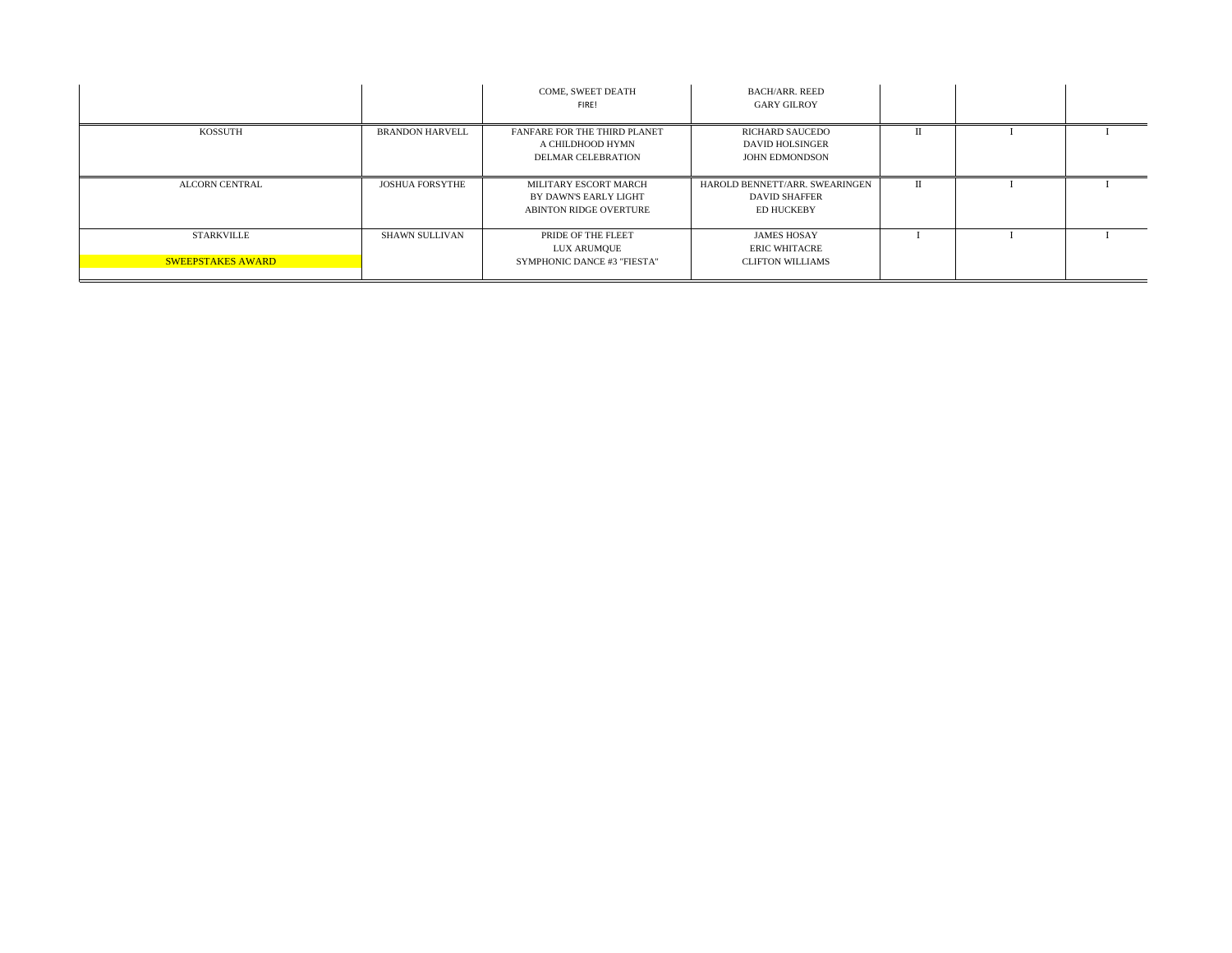|                                               |                        | COME, SWEET DEATH<br>FIRE!                                                      | <b>BACH/ARR, REED</b><br>GARY GILROY                                 |       |  |
|-----------------------------------------------|------------------------|---------------------------------------------------------------------------------|----------------------------------------------------------------------|-------|--|
| KOSSUTH                                       | <b>BRANDON HARVELL</b> | FANFARE FOR THE THIRD PLANET<br>A CHILDHOOD HYMN<br><b>DELMAR CELEBRATION</b>   | RICHARD SAUCEDO<br>DAVID HOLSINGER<br>JOHN EDMONDSON                 |       |  |
| ALCORN CENTRAL                                | <b>JOSHUA FORSYTHE</b> | MILITARY ESCORT MARCH<br>BY DAWN'S EARLY LIGHT<br><b>ABINTON RIDGE OVERTURE</b> | HAROLD BENNETT/ARR. SWEARINGEN<br><b>DAVID SHAFFER</b><br>ED HUCKEBY | $\Pi$ |  |
| <b>STARKVILLE</b><br><b>SWEEPSTAKES AWARD</b> | SHAWN SULLIVAN         | PRIDE OF THE FLEET<br>LUX ARUMQUE<br><b>SYMPHONIC DANCE #3 "FIESTA"</b>         | <b>JAMES HOSAY</b><br>ERIC WHITACRE<br><b>CLIFTON WILLIAMS</b>       |       |  |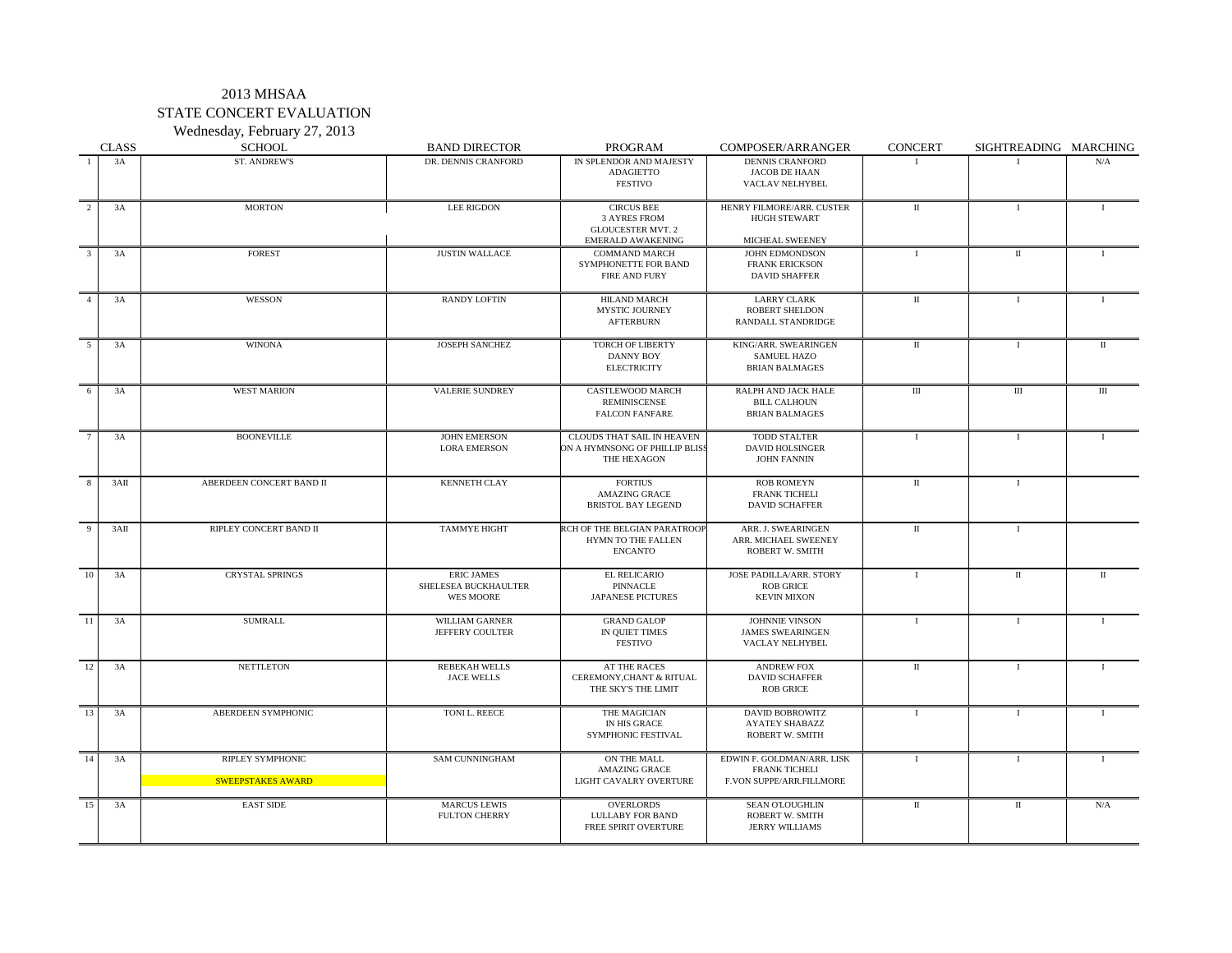#### 2013 MHSAA STATE CONCERT EVALUATION Wednesday, February 27, 2013

|                 | <b>CLASS</b> | SCHOOL                                | <b>BAND DIRECTOR</b>                                   | <b>PROGRAM</b>                                                                                   | COMPOSER/ARRANGER                                                              | <b>CONCERT</b>                     | SIGHTREADING MARCHING |              |
|-----------------|--------------|---------------------------------------|--------------------------------------------------------|--------------------------------------------------------------------------------------------------|--------------------------------------------------------------------------------|------------------------------------|-----------------------|--------------|
| $\mathbf{1}$    | 3A           | <b>ST. ANDREW'S</b>                   | DR. DENNIS CRANFORD                                    | IN SPLENDOR AND MAJESTY<br><b>ADAGIETTO</b><br><b>FESTIVO</b>                                    | <b>DENNIS CRANFORD</b><br><b>JACOB DE HAAN</b><br>VACLAV NELHYBEL              | $\mathbf{I}$                       | $\mathbf{I}$          | N/A          |
| 2               | 3A           | <b>MORTON</b>                         | <b>LEE RIGDON</b>                                      | <b>CIRCUS BEE</b><br><b>3 AYRES FROM</b><br><b>GLOUCESTER MVT. 2</b><br><b>EMERALD AWAKENING</b> | HENRY FILMORE/ARR. CUSTER<br><b>HUGH STEWART</b><br>MICHEAL SWEENEY            | $\overline{\mathbf{u}}$            | $\mathbf{I}$          | $\mathbf{I}$ |
| $\overline{3}$  | 3A           | <b>FOREST</b>                         | <b>JUSTIN WALLACE</b>                                  | <b>COMMAND MARCH</b><br>SYMPHONETTE FOR BAND<br><b>FIRE AND FURY</b>                             | <b>JOHN EDMONDSON</b><br><b>FRANK ERICKSON</b><br><b>DAVID SHAFFER</b>         | $\mathbf{I}$                       | $\scriptstyle\rm II$  | $\mathbf{I}$ |
| $\overline{4}$  | 3A           | WESSON                                | <b>RANDY LOFTIN</b>                                    | <b>HILAND MARCH</b><br>MYSTIC JOURNEY<br><b>AFTERBURN</b>                                        | <b>LARRY CLARK</b><br><b>ROBERT SHELDON</b><br>RANDALL STANDRIDGE              | $\scriptstyle\rm II$               | $\mathbf{I}$          | -1           |
| $\overline{5}$  | 3A           | <b>WINONA</b>                         | <b>JOSEPH SANCHEZ</b>                                  | TORCH OF LIBERTY<br><b>DANNY BOY</b><br><b>ELECTRICITY</b>                                       | KING/ARR. SWEARINGEN<br>SAMUEL HAZO<br><b>BRIAN BALMAGES</b>                   | $\overline{\rm{I\hspace{-.1em}I}}$ | $\bf{I}$              | П            |
| 6               | 3A           | <b>WEST MARION</b>                    | VALERIE SUNDREY                                        | CASTLEWOOD MARCH<br><b>REMINISCENSE</b><br><b>FALCON FANFARE</b>                                 | RALPH AND JACK HALE<br><b>BILL CALHOUN</b><br><b>BRIAN BALMAGES</b>            | Ш                                  | Ш                     | Ш            |
| $7\phantom{.0}$ | 3A           | <b>BOONEVILLE</b>                     | <b>JOHN EMERSON</b><br><b>LORA EMERSON</b>             | CLOUDS THAT SAIL IN HEAVEN<br>ON A HYMNSONG OF PHILLIP BLISS<br>THE HEXAGON                      | TODD STALTER<br>DAVID HOLSINGER<br><b>JOHN FANNIN</b>                          | $\bf{I}$                           | Ι.                    | $\mathbf{I}$ |
| 8               | 3AII         | ABERDEEN CONCERT BAND II              | <b>KENNETH CLAY</b>                                    | <b>FORTIUS</b><br><b>AMAZING GRACE</b><br><b>BRISTOL BAY LEGEND</b>                              | <b>ROB ROMEYN</b><br><b>FRANK TICHELI</b><br><b>DAVID SCHAFFER</b>             | $\scriptstyle\rm II$               | $\bf{I}$              |              |
| 9               | 3AII         | RIPLEY CONCERT BAND II                | TAMMYE HIGHT                                           | RCH OF THE BELGIAN PARATROOP<br>HYMN TO THE FALLEN<br><b>ENCANTO</b>                             | ARR. J. SWEARINGEN<br>ARR. MICHAEL SWEENEY<br>ROBERT W. SMITH                  | П                                  | $\bf{I}$              |              |
| 10              | 3A           | <b>CRYSTAL SPRINGS</b>                | <b>ERIC JAMES</b><br>SHELESEA BUCKHAULTER<br>WES MOORE | EL RELICARIO<br>PINNACLE<br><b>JAPANESE PICTURES</b>                                             | JOSE PADILLA/ARR. STORY<br><b>ROB GRICE</b><br><b>KEVIN MIXON</b>              | -1                                 | П                     | П            |
| 11              | 3A           | <b>SUMRALL</b>                        | WILLIAM GARNER<br>JEFFERY COULTER                      | <b>GRAND GALOP</b><br>IN QUIET TIMES<br><b>FESTIVO</b>                                           | JOHNNIE VINSON<br><b>JAMES SWEARINGEN</b><br>VACLAY NELHYBEL                   | $\mathbf{I}$                       | $\bf{I}$              | -1           |
| 12              | 3A           | <b>NETTLETON</b>                      | <b>REBEKAH WELLS</b><br>JACE WELLS                     | AT THE RACES<br>CEREMONY, CHANT & RITUAL<br>THE SKY'S THE LIMIT                                  | <b>ANDREW FOX</b><br><b>DAVID SCHAFFER</b><br><b>ROB GRICE</b>                 | П                                  | $\bf{I}$              | $\mathbf{I}$ |
| 13              | 3A           | ABERDEEN SYMPHONIC                    | TONI L. REECE                                          | THE MAGICIAN<br>IN HIS GRACE<br>SYMPHONIC FESTIVAL                                               | <b>DAVID BOBROWITZ</b><br><b>AYATEY SHABAZZ</b><br>ROBERT W. SMITH             | $\mathbf{I}$                       | $\mathbf{I}$          | $\mathbf{I}$ |
| 14              | 3A           | RIPLEY SYMPHONIC<br>SWEEPSTAKES AWARD | SAM CUNNINGHAM                                         | ON THE MALL<br><b>AMAZING GRACE</b><br>LIGHT CAVALRY OVERTURE                                    | EDWIN F. GOLDMAN/ARR. LISK<br><b>FRANK TICHELI</b><br>F.VON SUPPE/ARR.FILLMORE | $\mathbf{I}$                       | $\mathbf{I}$          | $\mathbf{I}$ |
| 15              | 3A           | <b>EAST SIDE</b>                      | <b>MARCUS LEWIS</b><br><b>FULTON CHERRY</b>            | OVERLORDS<br>LULLABY FOR BAND<br>FREE SPIRIT OVERTURE                                            | SEAN O'LOUGHLIN<br>ROBERT W. SMITH<br><b>JERRY WILLIAMS</b>                    | $\scriptstyle\rm II$               | $\scriptstyle\rm II$  | N/A          |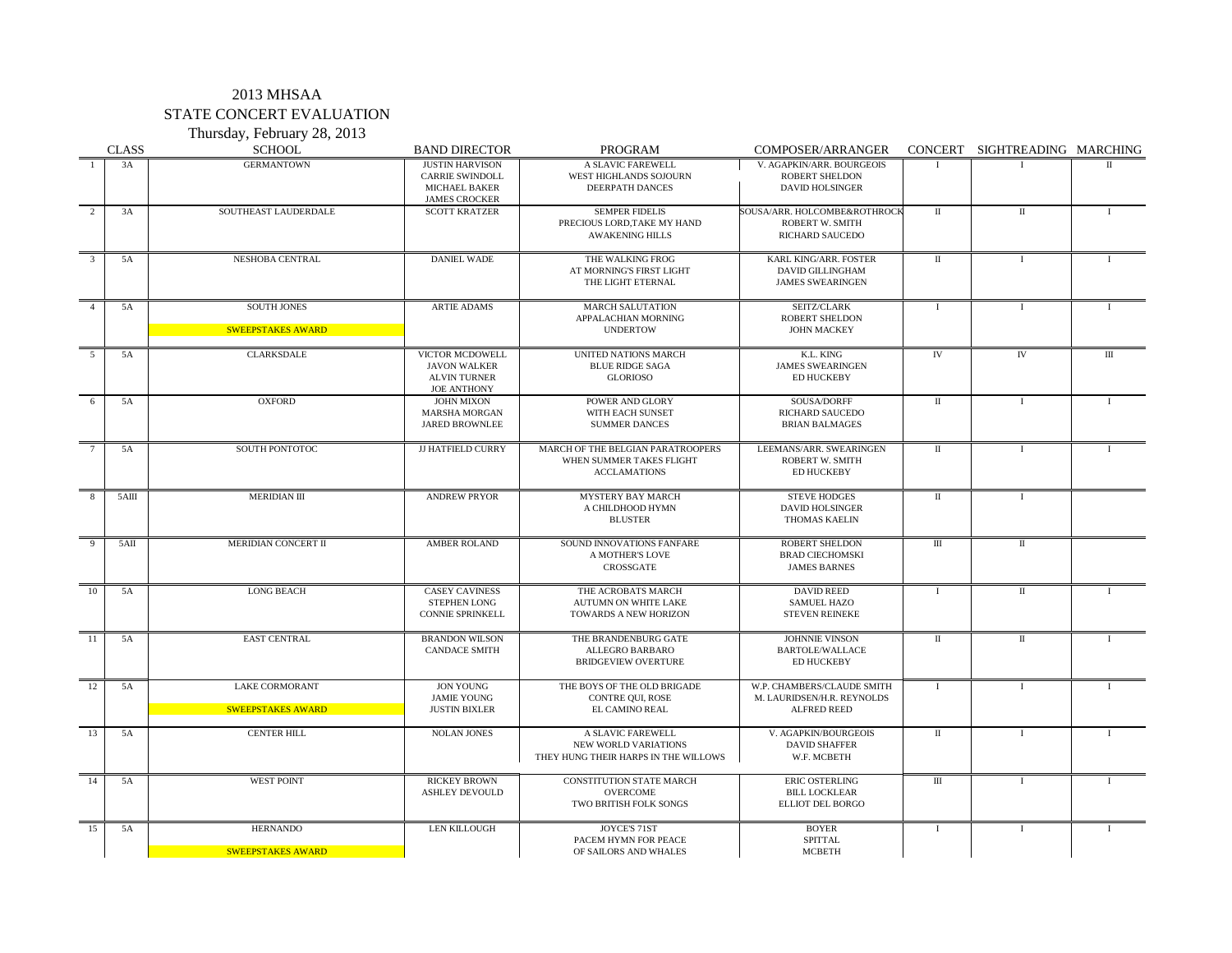## 2013 MHSAA STATE CONCERT EVALUATION

Thursday, February 28, 2013 CLASS SCHOOL BAND DIRECTOR PROGRAM COMPOSER/ARRANGER CONCERT SIGHTREADING MARCHING 1 3A GERMANTOWN JUSTIN HARVISON A SLAVIC FAREWELL V. AGAPKIN/ARR. BOURGEOIS CARREE SWINDOLL WEST HIGHLANDS SOJOURN ROBERT SHELDON CARRIE SWINDOLL WEST HIGHLANDS SOJOURN ROBERT SHELDON DEERPATH DANCES **JAMES CROCKER**<br>SCOTT KRATZER 2 3A SOUTHEAST LAUDERDALE SCOTT KRATZER SEMPER FIDELIS SOUSA/ARR. HOLCOMBE&ROTHROCK II II II I PRECIOUS LORD,TAKE MY HAND<br>AWAKENING HILLS RICHARD SAUCEDO 3 5A NESHOBA CENTRAL DANIEL WADE THE WALKING FROG KARL KING/ARR. FOSTER II I I AT MORNING'S FIRST LIGHT DAVID GILLINGHAM THE LIGHT ETERNAL JAMES SWEARINGEN JAMES SWEARINGEN 4 5A SOUTH JONES ARTIE ADAMS MARCH SALUTATION SEITZ/CLARK I I I APPALACHIAN MORNING ROBERT SHELDON UNDERTOW JOHN MACKEY SWEEPSTAKES AWARD 5 5A CLARKSDALE VICTOR MCDOWELL UNITED NATIONS MARCH K.L. KING IV IV III JAVON WALKER BLUE RIDGE SAGA JAMES SWEARINGEN ALVIN TURNER GLORIOSO GLORIOSO BOHUCKEBY JOE ANTHONY 6 5A OXFORD JOHN MIXON POWER AND GLORY SOUSA/DORFF II I I MARSHA MORGAN WITH EACH SUNSET RICHARD SAUCEDO JARED BROWNLEE SUMMER DANCES BRIAN BALMAGES <sup>7</sup> 5A SOUTH PONTOTOC JJ HATFIELD CURRY MARCH OF THE BELGIAN PARATROOPERS LEEMANS/ARR. SWEARINGEN I I I I WHEN SUMMER TAKES FLIGHT ROBERT W. SMITH ROBERT W. SMITH ROBERT ACCLAMATIONS ACCLAMATIONS 8 5AIII MERIDIAN III ANDREW PRYOR MYSTERY BAY MARCH STEVE HODGES II I A CHILDHOOD HYMN DAVID HOLSINGER<br>BLUSTER THOMAS KAELIN THOMAS KAELIN 9 5AII MERIDIAN CONCERT II AMBER ROLAND SOUND INNOVATIONS FANFARE ROBERT SHELDON III II II II BRAD CIECHOMSKI CROSSGATE JAMES BARNES 10 5A LONG BEACH CASEY CAVINESS THE ACROBATS MARCH DAVID REED I II I STEPHEN LONG AUTUMN ON WHITE LAKE SAMUEL HAZO<br>
STEPHEN EPRINKELL TOWARDS A NEW HORIZON STEVEN REINEKE TOWARDS A NEW HORIZON 11 5A EAST CENTRAL BRANDON WILSON THE BRANDENBURG GATE JOHNNIE VINSON II II I CANDACE SMITH ALLEGRO BARBARO BARTOLE/WALLACE BARTOLE/WALLACE BARTOLE/WALLACE BRIDGEVIEW OVERTURE 12 5A LAKE CORMORANT JON YOUNG THE BOYS OF THE OLD BRIGADE W.P. CHAMBERS/CLAUDE SMITH I I I JAMIE YOUNG CONTRE QUI, ROSE M. LAURIDSEN/H.R. REYNOLDS JUSTIN BIXLER EL CAMINO REAL ALFRED REED SWEEPSTAKES AWARD 13 5A CENTER HILL NOLAN JONES A SLAVIC FAREWELL V. AGAPKIN/BOURGEOIS II I I NEW WORLD VARIATIONS DAVID SHAFFER THEY HUNG THEIR HARPS IN THE WILLOWS 14 5A WEST POINT RICKEY BROWN CONSTITUTION STATE MARCH ERIC OSTERLING II I I ASHLEY DEVOULD OVERCOME BILL LOCKLEAR TWO BRITISH FOLK SONGS BILL LOCKLEAR TWO BRITISH FOLK SONGS 15 5A HERNANDO LEN KILLOUGH JOYCE'S 71ST BOYER I I I PACEM HYMN FOR PEACE SPITTAL OF SAILORS AND WHALES NOTES SPITTAL SWEEPSTAKES AWARD **OF SAILORS AND WHALES**